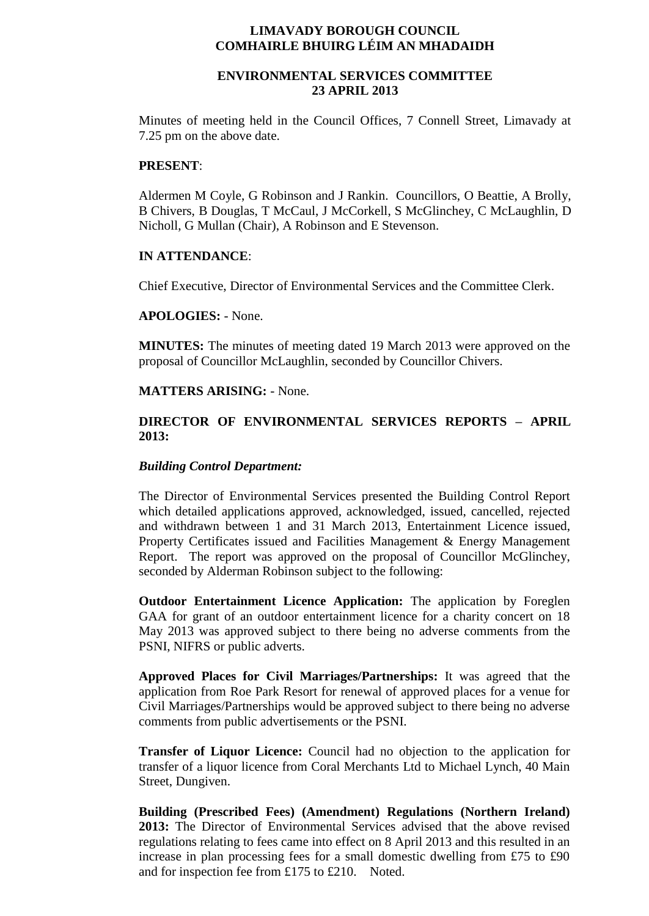## **LIMAVADY BOROUGH COUNCIL COMHAIRLE BHUIRG LÉIM AN MHADAIDH**

# **ENVIRONMENTAL SERVICES COMMITTEE 23 APRIL 2013**

Minutes of meeting held in the Council Offices, 7 Connell Street, Limavady at 7.25 pm on the above date.

## **PRESENT**:

Aldermen M Coyle, G Robinson and J Rankin. Councillors, O Beattie, A Brolly, B Chivers, B Douglas, T McCaul, J McCorkell, S McGlinchey, C McLaughlin, D Nicholl, G Mullan (Chair), A Robinson and E Stevenson.

## **IN ATTENDANCE**:

Chief Executive, Director of Environmental Services and the Committee Clerk.

# **APOLOGIES:** - None.

**MINUTES:** The minutes of meeting dated 19 March 2013 were approved on the proposal of Councillor McLaughlin, seconded by Councillor Chivers.

## **MATTERS ARISING:** - None.

# **DIRECTOR OF ENVIRONMENTAL SERVICES REPORTS – APRIL 2013:**

#### *Building Control Department:*

The Director of Environmental Services presented the Building Control Report which detailed applications approved, acknowledged, issued, cancelled, rejected and withdrawn between 1 and 31 March 2013, Entertainment Licence issued, Property Certificates issued and Facilities Management & Energy Management Report. The report was approved on the proposal of Councillor McGlinchey, seconded by Alderman Robinson subject to the following:

**Outdoor Entertainment Licence Application:** The application by Foreglen GAA for grant of an outdoor entertainment licence for a charity concert on 18 May 2013 was approved subject to there being no adverse comments from the PSNI, NIFRS or public adverts.

**Approved Places for Civil Marriages/Partnerships:** It was agreed that the application from Roe Park Resort for renewal of approved places for a venue for Civil Marriages/Partnerships would be approved subject to there being no adverse comments from public advertisements or the PSNI.

**Transfer of Liquor Licence:** Council had no objection to the application for transfer of a liquor licence from Coral Merchants Ltd to Michael Lynch, 40 Main Street, Dungiven.

**Building (Prescribed Fees) (Amendment) Regulations (Northern Ireland) 2013:** The Director of Environmental Services advised that the above revised regulations relating to fees came into effect on 8 April 2013 and this resulted in an increase in plan processing fees for a small domestic dwelling from £75 to £90 and for inspection fee from £175 to £210. Noted.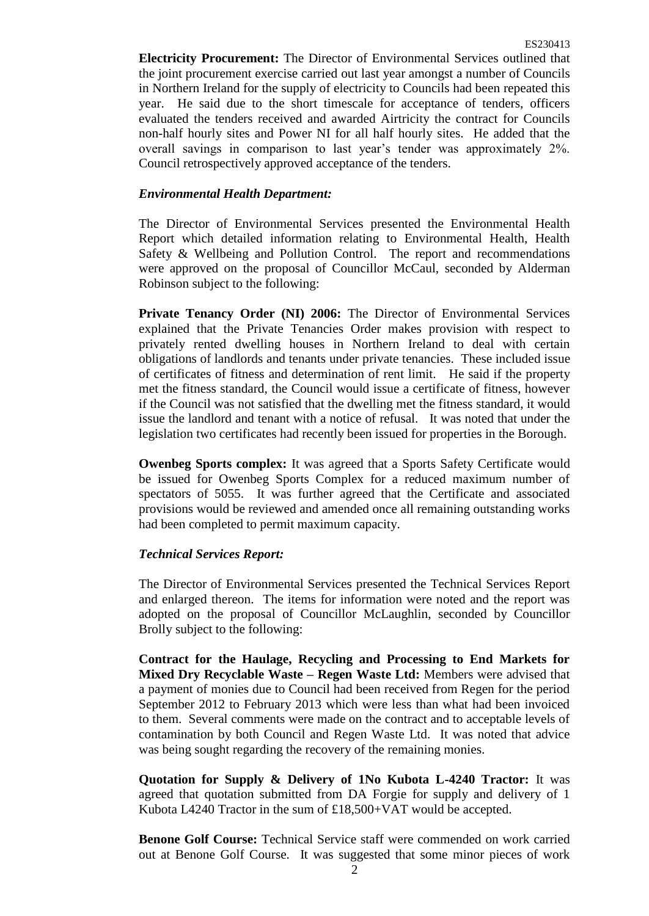**Electricity Procurement:** The Director of Environmental Services outlined that the joint procurement exercise carried out last year amongst a number of Councils in Northern Ireland for the supply of electricity to Councils had been repeated this year. He said due to the short timescale for acceptance of tenders, officers evaluated the tenders received and awarded Airtricity the contract for Councils non-half hourly sites and Power NI for all half hourly sites. He added that the overall savings in comparison to last year's tender was approximately 2%. Council retrospectively approved acceptance of the tenders.

### *Environmental Health Department:*

The Director of Environmental Services presented the Environmental Health Report which detailed information relating to Environmental Health, Health Safety & Wellbeing and Pollution Control. The report and recommendations were approved on the proposal of Councillor McCaul, seconded by Alderman Robinson subject to the following:

**Private Tenancy Order (NI) 2006:** The Director of Environmental Services explained that the Private Tenancies Order makes provision with respect to privately rented dwelling houses in Northern Ireland to deal with certain obligations of landlords and tenants under private tenancies. These included issue of certificates of fitness and determination of rent limit. He said if the property met the fitness standard, the Council would issue a certificate of fitness, however if the Council was not satisfied that the dwelling met the fitness standard, it would issue the landlord and tenant with a notice of refusal. It was noted that under the legislation two certificates had recently been issued for properties in the Borough.

**Owenbeg Sports complex:** It was agreed that a Sports Safety Certificate would be issued for Owenbeg Sports Complex for a reduced maximum number of spectators of 5055. It was further agreed that the Certificate and associated provisions would be reviewed and amended once all remaining outstanding works had been completed to permit maximum capacity.

## *Technical Services Report:*

The Director of Environmental Services presented the Technical Services Report and enlarged thereon. The items for information were noted and the report was adopted on the proposal of Councillor McLaughlin, seconded by Councillor Brolly subject to the following:

**Contract for the Haulage, Recycling and Processing to End Markets for Mixed Dry Recyclable Waste – Regen Waste Ltd:** Members were advised that a payment of monies due to Council had been received from Regen for the period September 2012 to February 2013 which were less than what had been invoiced to them. Several comments were made on the contract and to acceptable levels of contamination by both Council and Regen Waste Ltd. It was noted that advice was being sought regarding the recovery of the remaining monies.

**Quotation for Supply & Delivery of 1No Kubota L-4240 Tractor:** It was agreed that quotation submitted from DA Forgie for supply and delivery of 1 Kubota L4240 Tractor in the sum of £18,500+VAT would be accepted.

**Benone Golf Course:** Technical Service staff were commended on work carried out at Benone Golf Course. It was suggested that some minor pieces of work